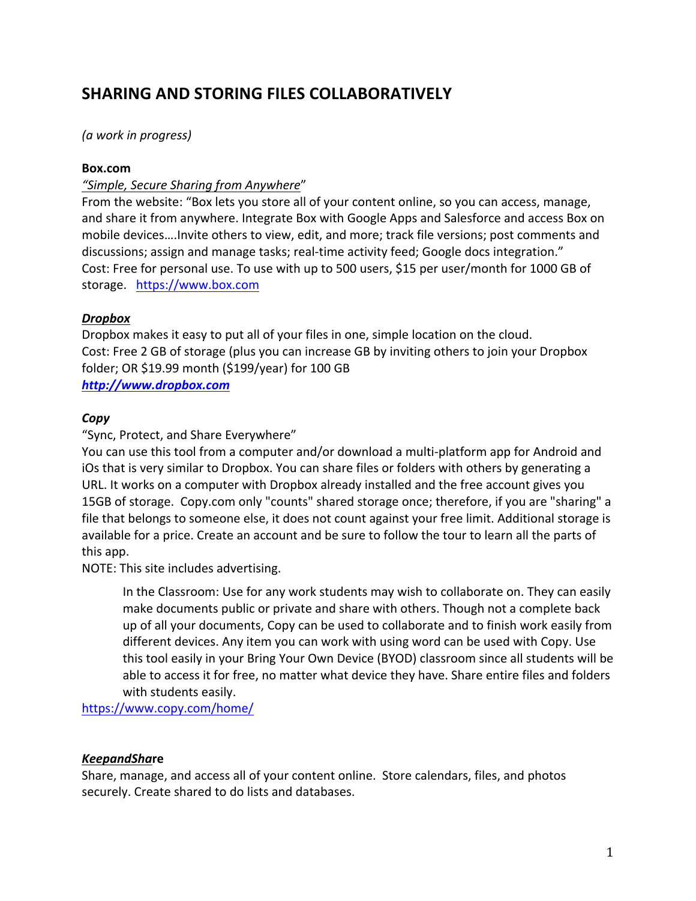# SHARING AND STORING FILES COLLABORATIVELY

*(a#work#in#progress)*

#### **Box.com**

#### *"Simple,#Secure#Sharing#from#Anywhere*"

From the website: "Box lets you store all of your content online, so you can access, manage, and share it from anywhere. Integrate Box with Google Apps and Salesforce and access Box on mobile devices....Invite others to view, edit, and more; track file versions; post comments and discussions; assign and manage tasks; real-time activity feed; Google docs integration." Cost: Free for personal use. To use with up to 500 users, \$15 per user/month for 1000 GB of storage. https://www.box.com

### *Dropbox*

Dropbox makes it easy to put all of your files in one, simple location on the cloud. Cost: Free 2 GB of storage (plus you can increase GB by inviting others to join your Dropbox folder; OR \$19.99 month (\$199/year) for 100 GB *http://www.dropbox.com*

#### *Copy*

"Sync, Protect, and Share Everywhere"

You can use this tool from a computer and/or download a multi-platform app for Android and iOs that is very similar to Dropbox. You can share files or folders with others by generating a URL. It works on a computer with Dropbox already installed and the free account gives you 15GB of storage. Copy.com only "counts" shared storage once; therefore, if you are "sharing" a file that belongs to someone else, it does not count against your free limit. Additional storage is available for a price. Create an account and be sure to follow the tour to learn all the parts of this app.

NOTE: This site includes advertising.

In the Classroom: Use for any work students may wish to collaborate on. They can easily make documents public or private and share with others. Though not a complete back up of all your documents, Copy can be used to collaborate and to finish work easily from different devices. Any item you can work with using word can be used with Copy. Use this tool easily in your Bring Your Own Device (BYOD) classroom since all students will be able to access it for free, no matter what device they have. Share entire files and folders with students easily.

https://www.copy.com/home/

### *KeepandSha***re**

Share, manage, and access all of your content online. Store calendars, files, and photos securely. Create shared to do lists and databases.